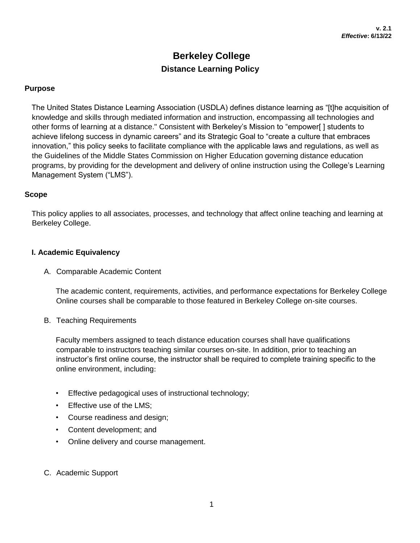# **Berkeley College Distance Learning Policy**

#### **Purpose**

The United States Distance Learning Association (USDLA) defines distance learning as "[t]he acquisition of knowledge and skills through mediated information and instruction, encompassing all technologies and other forms of learning at a distance." Consistent with Berkeley's Mission to "empower[ ] students to achieve lifelong success in dynamic careers" and its Strategic Goal to "create a culture that embraces innovation," this policy seeks to facilitate compliance with the applicable laws and regulations, as well as the Guidelines of the Middle States Commission on Higher Education governing distance education programs, by providing for the development and delivery of online instruction using the College's Learning Management System ("LMS").

#### **Scope**

This policy applies to all associates, processes, and technology that affect online teaching and learning at Berkeley College.

#### **I. Academic Equivalency**

A. Comparable Academic Content

The academic content, requirements, activities, and performance expectations for Berkeley College Online courses shall be comparable to those featured in Berkeley College on-site courses.

B. Teaching Requirements

Faculty members assigned to teach distance education courses shall have qualifications comparable to instructors teaching similar courses on-site. In addition, prior to teaching an instructor's first online course, the instructor shall be required to complete training specific to the online environment, including:

- Effective pedagogical uses of instructional technology;
- Effective use of the LMS;
- Course readiness and design;
- Content development; and
- Online delivery and course management.
- C. Academic Support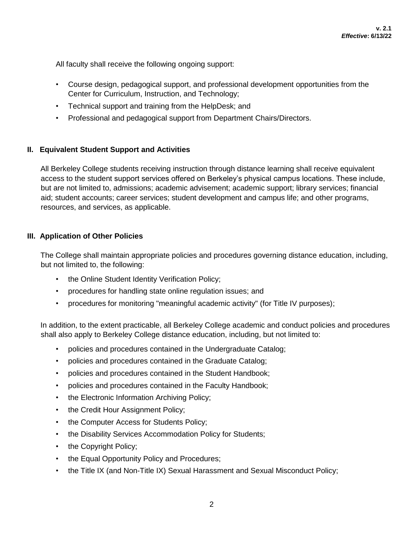All faculty shall receive the following ongoing support:

- Course design, pedagogical support, and professional development opportunities from the Center for Curriculum, Instruction, and Technology;
- Technical support and training from the HelpDesk; and
- Professional and pedagogical support from Department Chairs/Directors.

## **II. Equivalent Student Support and Activities**

All Berkeley College students receiving instruction through distance learning shall receive equivalent access to the student support services offered on Berkeley's physical campus locations. These include, but are not limited to, admissions; academic advisement; academic support; library services; financial aid; student accounts; career services; student development and campus life; and other programs, resources, and services, as applicable.

## **III. Application of Other Policies**

The College shall maintain appropriate policies and procedures governing distance education, including, but not limited to, the following:

- the Online Student Identity Verification Policy;
- procedures for handling state online regulation issues; and
- procedures for monitoring "meaningful academic activity" (for Title IV purposes);

In addition, to the extent practicable, all Berkeley College academic and conduct policies and procedures shall also apply to Berkeley College distance education, including, but not limited to:

- policies and procedures contained in the Undergraduate Catalog;
- policies and procedures contained in the Graduate Catalog;
- policies and procedures contained in the Student Handbook;
- policies and procedures contained in the Faculty Handbook;
- the Electronic Information Archiving Policy;
- the Credit Hour Assignment Policy;
- the Computer Access for Students Policy;
- the Disability Services Accommodation Policy for Students;
- the Copyright Policy;
- the Equal Opportunity Policy and Procedures;
- the Title IX (and Non-Title IX) Sexual Harassment and Sexual Misconduct Policy;